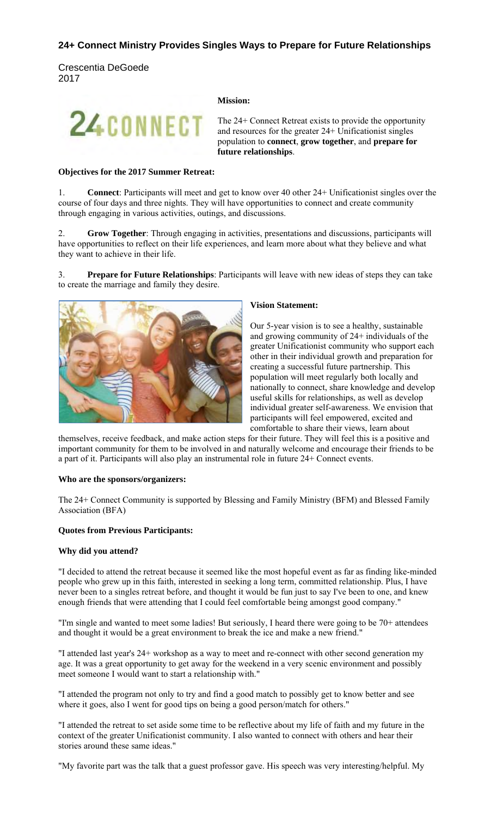# **24+ Connect Ministry Provides Singles Ways to Prepare for Future Relationships**

Crescentia DeGoede 2017

#### **Mission:**

The 24+ Connect Retreat exists to provide the opportunity and resources for the greater 24+ Unificationist singles population to **connect**, **grow together**, and **prepare for future relationships**.

#### **Objectives for the 2017 Summer Retreat:**

24CONNECT

1. **Connect**: Participants will meet and get to know over 40 other 24+ Unificationist singles over the course of four days and three nights. They will have opportunities to connect and create community through engaging in various activities, outings, and discussions.

2. **Grow Together**: Through engaging in activities, presentations and discussions, participants will have opportunities to reflect on their life experiences, and learn more about what they believe and what they want to achieve in their life.

3. **Prepare for Future Relationships**: Participants will leave with new ideas of steps they can take to create the marriage and family they desire.



#### **Vision Statement:**

Our 5-year vision is to see a healthy, sustainable and growing community of 24+ individuals of the greater Unificationist community who support each other in their individual growth and preparation for creating a successful future partnership. This population will meet regularly both locally and nationally to connect, share knowledge and develop useful skills for relationships, as well as develop individual greater self-awareness. We envision that participants will feel empowered, excited and comfortable to share their views, learn about

themselves, receive feedback, and make action steps for their future. They will feel this is a positive and important community for them to be involved in and naturally welcome and encourage their friends to be a part of it. Participants will also play an instrumental role in future 24+ Connect events.

#### **Who are the sponsors/organizers:**

The 24+ Connect Community is supported by Blessing and Family Ministry (BFM) and Blessed Family Association (BFA)

### **Quotes from Previous Participants:**

### **Why did you attend?**

"I decided to attend the retreat because it seemed like the most hopeful event as far as finding like-minded people who grew up in this faith, interested in seeking a long term, committed relationship. Plus, I have never been to a singles retreat before, and thought it would be fun just to say I've been to one, and knew enough friends that were attending that I could feel comfortable being amongst good company."

"I'm single and wanted to meet some ladies! But seriously, I heard there were going to be 70+ attendees and thought it would be a great environment to break the ice and make a new friend."

"I attended last year's 24+ workshop as a way to meet and re-connect with other second generation my age. It was a great opportunity to get away for the weekend in a very scenic environment and possibly meet someone I would want to start a relationship with."

"I attended the program not only to try and find a good match to possibly get to know better and see where it goes, also I went for good tips on being a good person/match for others."

"I attended the retreat to set aside some time to be reflective about my life of faith and my future in the context of the greater Unificationist community. I also wanted to connect with others and hear their stories around these same ideas."

"My favorite part was the talk that a guest professor gave. His speech was very interesting/helpful. My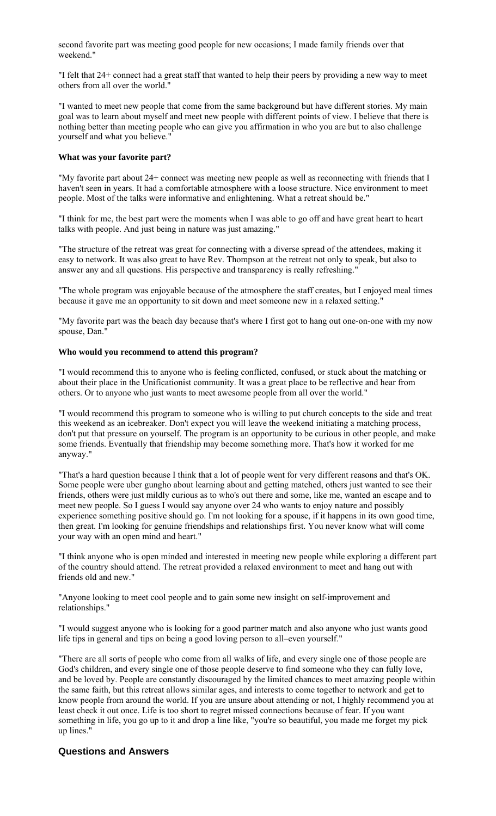second favorite part was meeting good people for new occasions; I made family friends over that weekend."

"I felt that 24+ connect had a great staff that wanted to help their peers by providing a new way to meet others from all over the world."

"I wanted to meet new people that come from the same background but have different stories. My main goal was to learn about myself and meet new people with different points of view. I believe that there is nothing better than meeting people who can give you affirmation in who you are but to also challenge yourself and what you believe."

#### **What was your favorite part?**

"My favorite part about 24+ connect was meeting new people as well as reconnecting with friends that I haven't seen in years. It had a comfortable atmosphere with a loose structure. Nice environment to meet people. Most of the talks were informative and enlightening. What a retreat should be."

"I think for me, the best part were the moments when I was able to go off and have great heart to heart talks with people. And just being in nature was just amazing."

"The structure of the retreat was great for connecting with a diverse spread of the attendees, making it easy to network. It was also great to have Rev. Thompson at the retreat not only to speak, but also to answer any and all questions. His perspective and transparency is really refreshing."

"The whole program was enjoyable because of the atmosphere the staff creates, but I enjoyed meal times because it gave me an opportunity to sit down and meet someone new in a relaxed setting."

"My favorite part was the beach day because that's where I first got to hang out one-on-one with my now spouse, Dan."

#### **Who would you recommend to attend this program?**

"I would recommend this to anyone who is feeling conflicted, confused, or stuck about the matching or about their place in the Unificationist community. It was a great place to be reflective and hear from others. Or to anyone who just wants to meet awesome people from all over the world."

"I would recommend this program to someone who is willing to put church concepts to the side and treat this weekend as an icebreaker. Don't expect you will leave the weekend initiating a matching process, don't put that pressure on yourself. The program is an opportunity to be curious in other people, and make some friends. Eventually that friendship may become something more. That's how it worked for me anyway."

"That's a hard question because I think that a lot of people went for very different reasons and that's OK. Some people were uber gungho about learning about and getting matched, others just wanted to see their friends, others were just mildly curious as to who's out there and some, like me, wanted an escape and to meet new people. So I guess I would say anyone over 24 who wants to enjoy nature and possibly experience something positive should go. I'm not looking for a spouse, if it happens in its own good time, then great. I'm looking for genuine friendships and relationships first. You never know what will come your way with an open mind and heart."

"I think anyone who is open minded and interested in meeting new people while exploring a different part of the country should attend. The retreat provided a relaxed environment to meet and hang out with friends old and new."

"Anyone looking to meet cool people and to gain some new insight on self-improvement and relationships."

"I would suggest anyone who is looking for a good partner match and also anyone who just wants good life tips in general and tips on being a good loving person to all–even yourself."

"There are all sorts of people who come from all walks of life, and every single one of those people are God's children, and every single one of those people deserve to find someone who they can fully love, and be loved by. People are constantly discouraged by the limited chances to meet amazing people within the same faith, but this retreat allows similar ages, and interests to come together to network and get to know people from around the world. If you are unsure about attending or not, I highly recommend you at least check it out once. Life is too short to regret missed connections because of fear. If you want something in life, you go up to it and drop a line like, "you're so beautiful, you made me forget my pick up lines."

# **Questions and Answers**